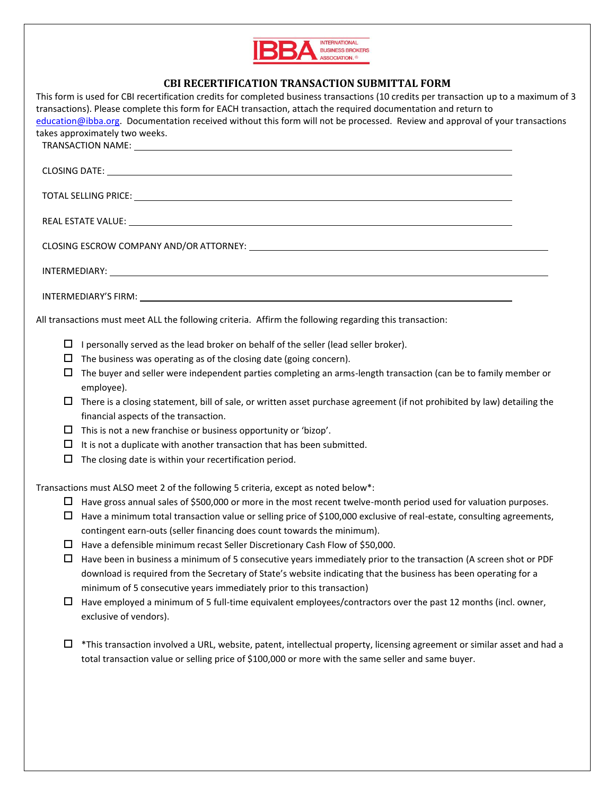

## **CBI RECERTIFICATION TRANSACTION SUBMITTAL FORM**

This form is used for CBI recertification credits for completed business transactions (10 credits per transaction up to a maximum of 3 transactions). Please complete this form for EACH transaction, attach the required documentation and return to [education@ibba.org.](mailto:education@ibba.org) Documentation received without this form will not be processed. Review and approval of your transactions takes approximately two weeks. TRANSACTION NAME: CLOSING DATE: TOTAL SELLING PRICE: REAL ESTATE VALUE: CLOSING ESCROW COMPANY AND/OR ATTORNEY: INTERMEDIARY: INTERMEDIARY'S FIRM: All transactions must meet ALL the following criteria. Affirm the following regarding this transaction:  $\Box$  I personally served as the lead broker on behalf of the seller (lead seller broker).  $\Box$  The business was operating as of the closing date (going concern).  $\Box$  The buyer and seller were independent parties completing an arms-length transaction (can be to family member or employee).  $\Box$  There is a closing statement, bill of sale, or written asset purchase agreement (if not prohibited by law) detailing the financial aspects of the transaction.  $\Box$  This is not a new franchise or business opportunity or 'bizop'.  $\Box$  It is not a duplicate with another transaction that has been submitted.  $\Box$  The closing date is within your recertification period. Transactions must ALSO meet 2 of the following 5 criteria, except as noted below\*:  $\Box$  Have gross annual sales of \$500,000 or more in the most recent twelve-month period used for valuation purposes.  $\Box$  Have a minimum total transaction value or selling price of \$100,000 exclusive of real-estate, consulting agreements, contingent earn-outs (seller financing does count towards the minimum).  $\Box$  Have a defensible minimum recast Seller Discretionary Cash Flow of \$50,000.  $\Box$  Have been in business a minimum of 5 consecutive years immediately prior to the transaction (A screen shot or PDF download is required from the Secretary of State's website indicating that the business has been operating for a minimum of 5 consecutive years immediately prior to this transaction)  $\Box$  Have employed a minimum of 5 full-time equivalent employees/contractors over the past 12 months (incl. owner, exclusive of vendors).  $\Box$  \*This transaction involved a URL, website, patent, intellectual property, licensing agreement or similar asset and had a total transaction value or selling price of \$100,000 or more with the same seller and same buyer.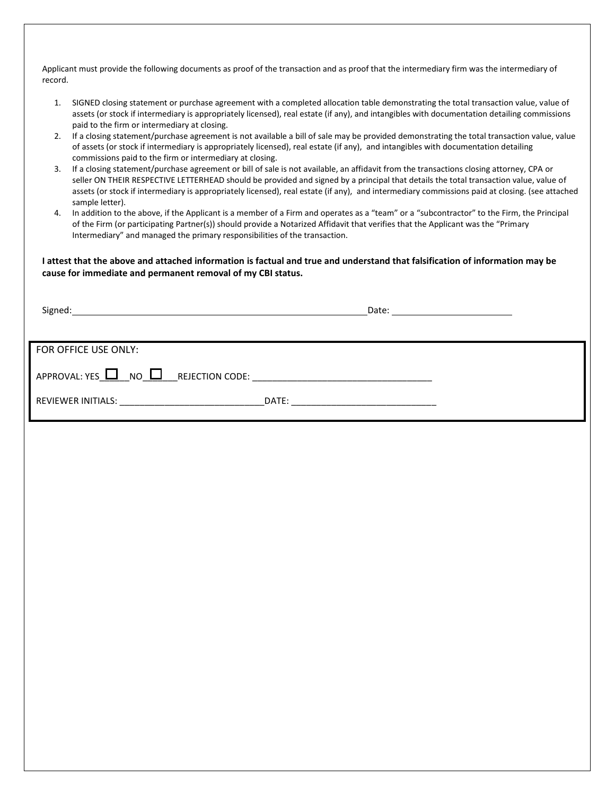Applicant must provide the following documents as proof of the transaction and as proof that the intermediary firm was the intermediary of record.

- 1. SIGNED closing statement or purchase agreement with a completed allocation table demonstrating the total transaction value, value of assets (or stock if intermediary is appropriately licensed), real estate (if any), and intangibles with documentation detailing commissions paid to the firm or intermediary at closing.
- 2. If a closing statement/purchase agreement is not available a bill of sale may be provided demonstrating the total transaction value, value of assets (or stock if intermediary is appropriately licensed), real estate (if any), and intangibles with documentation detailing commissions paid to the firm or intermediary at closing.
- 3. If a closing statement/purchase agreement or bill of sale is not available, an affidavit from the transactions closing attorney, CPA or seller ON THEIR RESPECTIVE LETTERHEAD should be provided and signed by a principal that details the total transaction value, value of assets (or stock if intermediary is appropriately licensed), real estate (if any), and intermediary commissions paid at closing. (see attached sample letter).
- 4. In addition to the above, if the Applicant is a member of a Firm and operates as a "team" or a "subcontractor" to the Firm, the Principal of the Firm (or participating Partner(s)) should provide a Notarized Affidavit that verifies that the Applicant was the "Primary Intermediary" and managed the primary responsibilities of the transaction.

**I attest that the above and attached information is factual and true and understand that falsification of information may be cause for immediate and permanent removal of my CBI status.**

| FOR OFFICE USE ONLY:                                                                              |  |
|---------------------------------------------------------------------------------------------------|--|
|                                                                                                   |  |
| $APPROVAL: YES \tcup \tS = \tC$ NO $\text{L}$ REJECTION CODE: ___________________________________ |  |
|                                                                                                   |  |
|                                                                                                   |  |
|                                                                                                   |  |
|                                                                                                   |  |
|                                                                                                   |  |
|                                                                                                   |  |
|                                                                                                   |  |
|                                                                                                   |  |
|                                                                                                   |  |
|                                                                                                   |  |
|                                                                                                   |  |
|                                                                                                   |  |
|                                                                                                   |  |
|                                                                                                   |  |
|                                                                                                   |  |
|                                                                                                   |  |
|                                                                                                   |  |
|                                                                                                   |  |
|                                                                                                   |  |
|                                                                                                   |  |
|                                                                                                   |  |